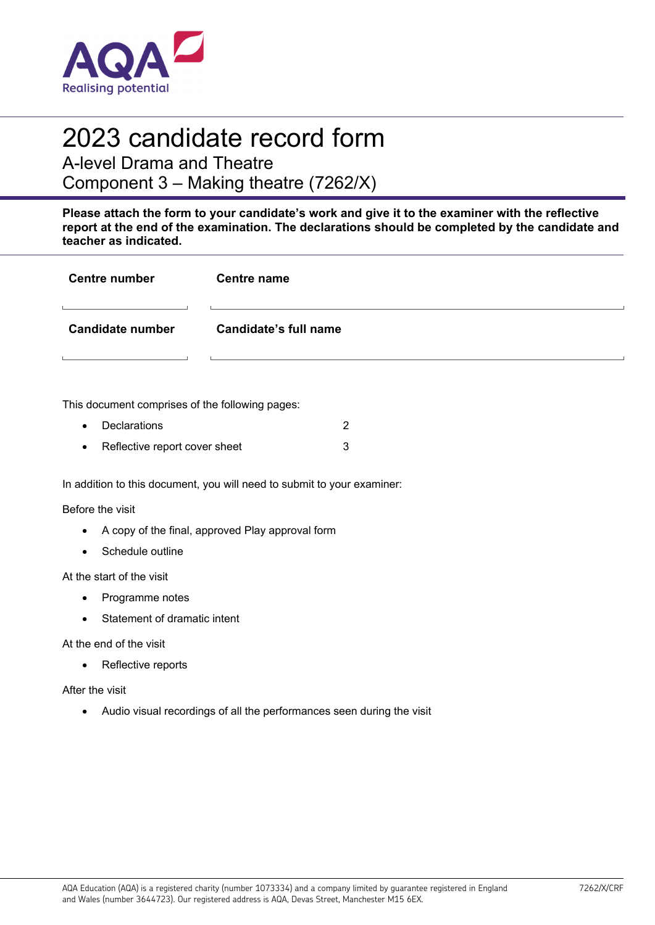

## 2023 candidate record form

A-level Drama and Theatre

Component 3 – Making theatre (7262/X)

**Please attach the form to your candidate's work and give it to the examiner with the reflective report at the end of the examination. The declarations should be completed by the candidate and teacher as indicated.** 

| <b>Centre number</b> | <b>Centre name</b>           |
|----------------------|------------------------------|
|                      |                              |
| Candidate number     | <b>Candidate's full name</b> |
|                      |                              |

This document comprises of the following pages:

- **Declarations** 2
- Reflective report cover sheet 3

In addition to this document, you will need to submit to your examiner:

Before the visit

- A copy of the final, approved Play approval form
- Schedule outline

At the start of the visit

- Programme notes
- Statement of dramatic intent

At the end of the visit

• Reflective reports

After the visit

Audio visual recordings of all the performances seen during the visit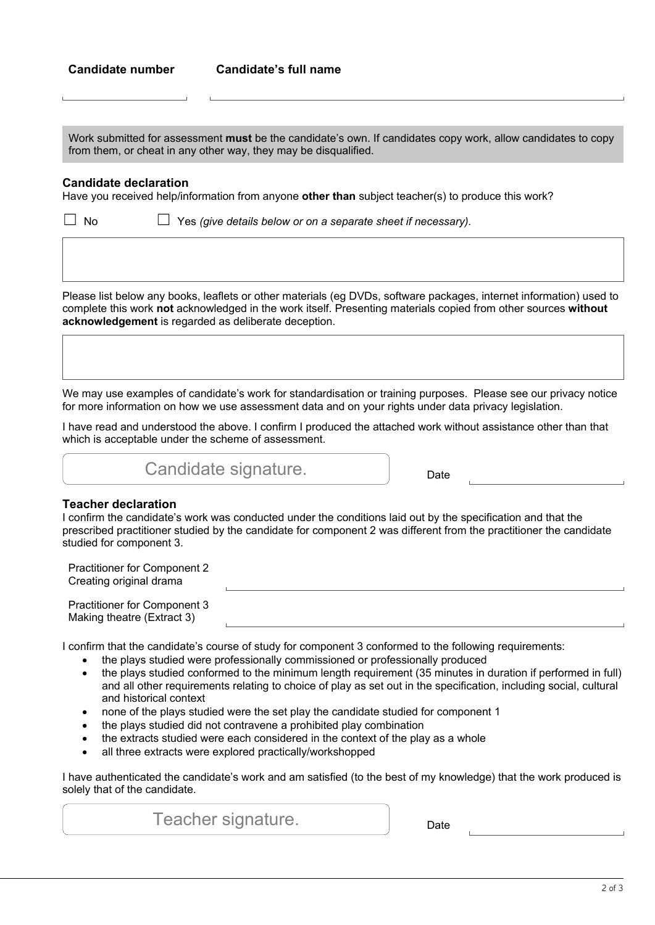**Candidate's full name** 

Work submitted for assessment **must** be the candidate's own. If candidates copy work, allow candidates to copy from them, or cheat in any other way, they may be disqualified.

## **Candidate declaration**

Have you received help/information from anyone **other than** subject teacher(s) to produce this work?

☐ No ☐ Yes *(give details below or on a separate sheet if necessary).*

Please list below any books, leaflets or other materials (eg DVDs, software packages, internet information) used to complete this work **not** acknowledged in the work itself. Presenting materials copied from other sources **without acknowledgement** is regarded as deliberate deception.

We may use examples of candidate's work for standardisation or training purposes. Please see our privacy notice for more information on how we use assessment data and on your rights under data privacy legislation.

I have read and understood the above. I confirm I produced the attached work without assistance other than that which is acceptable under the scheme of assessment.

Candidate signature.

## **Teacher declaration**

I confirm the candidate's work was conducted under the conditions laid out by the specification and that the prescribed practitioner studied by the candidate for component 2 was different from the practitioner the candidate studied for component 3.

| <b>Practitioner for Component 2</b><br>Creating original drama |  |
|----------------------------------------------------------------|--|
| Practitioner for Component 3<br>Making theatre (Extract 3)     |  |

I confirm that the candidate's course of study for component 3 conformed to the following requirements:

- the plays studied were professionally commissioned or professionally produced
- the plays studied conformed to the minimum length requirement (35 minutes in duration if performed in full) and all other requirements relating to choice of play as set out in the specification, including social, cultural and historical context
- none of the plays studied were the set play the candidate studied for component 1
- the plays studied did not contravene a prohibited play combination
- the extracts studied were each considered in the context of the play as a whole
- all three extracts were explored practically/workshopped

I have authenticated the candidate's work and am satisfied (to the best of my knowledge) that the work produced is solely that of the candidate.

Teacher signature.